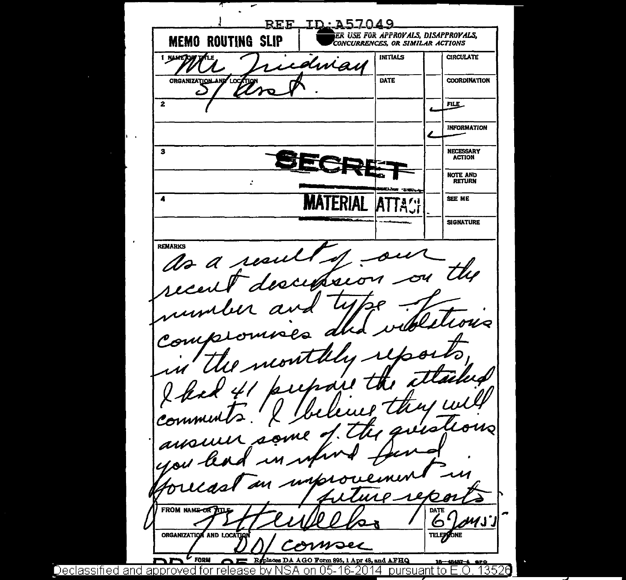REF ID 257049 ER USE FOR APPROVALS, DISAPPROVALS, **MEMO ROUTING SLIP** CONCURRENCES, OR SIMILAR ACTIONS 1 NAME OF TALE INITIALS **CIRCULATE** idmay ORGANIZATION AND LOCATION **DATE COORDINATION** Ċ.  $\mathbf{z}$ FILE\_ **INFORMATION NECESSARY**  $\mathbf{3}$ **ACTION** NOTE AND RETURN  $\mathbf{r}$  $\overline{\mathbf{4}}$ **MATERIAI** SEE ME **SIGNATURE REMARKS** as a resul recent descen Trent  $\nu_{\scriptscriptstyle\mathcal{Q}}$ Com  $Z\!\!\!\!Z$ minut  $\frac{1}{2}$  $b$ 11  $\frac{1}{2}$ Comm  $\boldsymbol{\mathcal{u}_\text{O}}$ T, a ausur ml o 's unkro **FROM NAME-OR** DATE  $1/1$ ัก ORGANIZATION AND LOCATION rei cof hwe woei **FORM** Replaces DA AGO Form 895, 1 Apr 48, and AFHQ 16-48487-4 6PO on 05-16-2014 pursuant to E.O. 13526 Declassified and approved for release hv N SA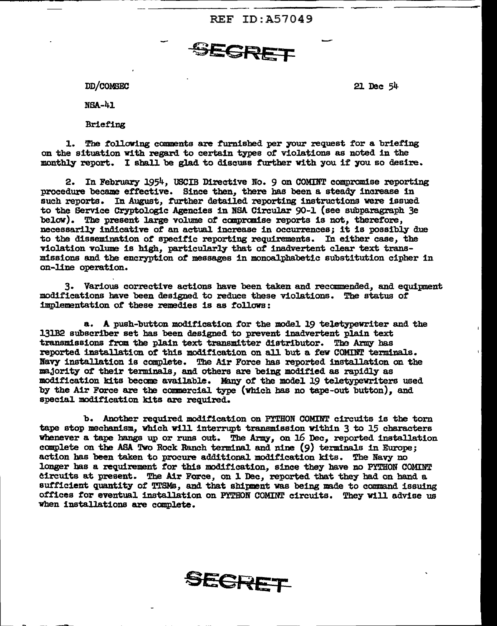REF ID:A57049

SEGRET

DD/COMSEC

NSA-41

Briefing

1. The following comments are furnished per your request for a briefing on the situation With regard to certain types *ot* violations as noted in the monthly report. I shall be glad to discuss further with you if you so desire.

2. In February 1954, USCIB Directive No. 9 on COMINT compromise reporting procedure became effective. Since then, there has been a steady increase in such reports. In August, further detailed reporting instructions were issued to the Service Cryptologic Agencies in BSA Circular 90-1 (see subparagraph 3e below). The present large volume of compromise reports is not, therefore, necessarily indicative *or* an actual. increase in occurrences; it is possibly due to the dissemination of' specific reporting requirements. In either case, the violation volume is high, particularly that of' inadvertent clear text transmissions and the encryption *ot* messages in monoa1pbabetic substitution cipher in on-line operation.

3. Various corrective actions 'have been taken and recommended, and equipment modif'ications have been designed to reduce these violations. The status of' implementation of these remedies is as follows:

a. A push-button modification *tor* the model 19 teletypewriter and the 131B2 subscriber set has been designed to prevent inadvertent plain text transmissions from the plain text transmitter distributor. The Army has reported installation of this modification on all but a few COMINT terminals. Navy installation is complete. The Air Force has reported installation on the majority of their terminals, and others are being modified as rapidly as modification kits become available. Many of the model 19 teletypewriters used by the Air Force are the commercial type (which has no tape-out button), and special modification kits are required.

b. Another required modification on PYTHON COMINT circuits is the torn tape stop mechanism, which will interrupt transmission within 3 to 15 characters whenever a tape hangs up or runs out. The Army, on 16 Dec, reported installation complete on the ASA. Tvo Rock Ranch terminal and nine (9) terminals 1n Europe; action has been taken to procure additional modification kits. The Navy no longer has a requirement for this modification, since they have no PYTHON COMINT circuits at present. The Air Force, on 1 Dec, reported that they had on hand a sufficient quantity of TTSMs, and that shipment was being made to command issuing offices for eventual installation on PYTHON COMINT circuits. They will advise us when installations are complete.



21 Dec 54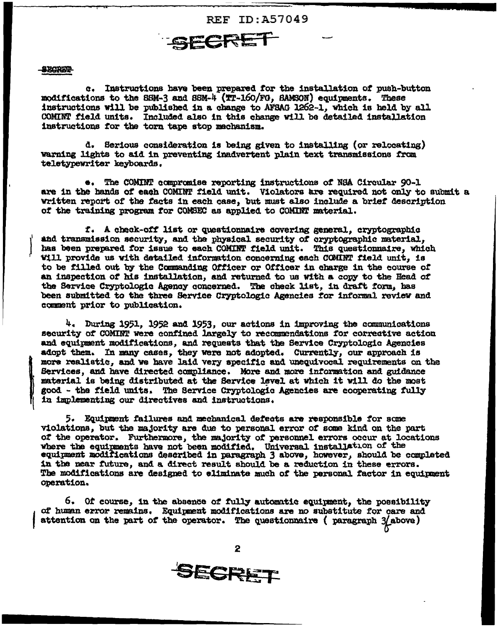

## **SECKET**

(

o-. Instructions have been prepand *tor* the installation *ot* push-button modifications to the SSM-3 and SSM-4 (TT-16O/FG, SAMSON) equipments. These instructions will be published in a change to AFSAG 1262-1, which is held by all COMINT field units. Included also in this change Vill be detailed installation instructions tor tbe torn tape stop mechanism.

d. Serious consideration is being given to installing (or relocating) warning lights to aid in preventing inadvertent plain text transmissions from te1et;ypevriter keyboards.

•. The COMIHT aanprallise reporting instructions *ot* NS.A. Circular 90-1 are in the bands of each COMINT field unit. Violators are required not only to submit a wr1 tten report *ot* the tacts in each case, but must also include a br1et description *ot* the training program tor COMSEC a.a applied to COMilft material.

*t.* A cbeak-ott list or quest1ozmaire aover1ng general, cryptographic and transmission security, and the physical security of oryptographic material, has been prepared for issue to each COMINT field unit. This questionnaire, which vill provide us with detailed information concerning each COMINT field unit, is to be filled out by the Commanding Officer or Officer in charge in the course of an inspection *ot* his installation, and returned to us With a copy to the Head of the Service Cryptologic Agency concerned. The check list, in draft form, has been submitted to the three Service Cryptologia Agencies ror informal review and camnent prior to publication.

 $4.$  During 1951, 1952 and 1953, our actions in improving the communications security of COMINT were confined largely to recommendations for corrective action and equipment modifications, and requests that the Service Cryptologic Agencies adopt them. In many cases, they were not adopted. Currently, our approach is more realistic, and we have laid very specific and unequivocal requirements on the more realistic, and we have laid very specific and unequivocal requirements on the Services, and have directed compliance. More and more information and guidance material is being distributed at the Service level at which Services, and have directed compliance. More and more information and guidance material is being distributed at the Service level at which it will do the most good - the field units. The Service Cryptologic Agencies are cooperating fully in implementing our directives and instructions.

5. Equipment failures and mechanical defects are responsible for some violations, but the majority are due to personal error of some kind on the part of the operator. Furthermore, the majority of personnel errors occur at locations where the equipments have not been modified. Universal installation of the equipment modifications described in paragraph 3 above, however, should be completed in the near future, and a direct result should be a reduction in these errors. The modifications are designed to eliminate much of the personal factor in equipment operation.

 $6.$  Of course, in the absence of fully automatic equipment, the possibility f ot human error remains. Equtpnent modifications are no substitute tor oare and attention on the part of the operator. The questionnaire ( paragraph  $3/$ above)

2



.......... \_\_\_\_\_\_\_\_\_\_\_\_\_\_\_ ~~